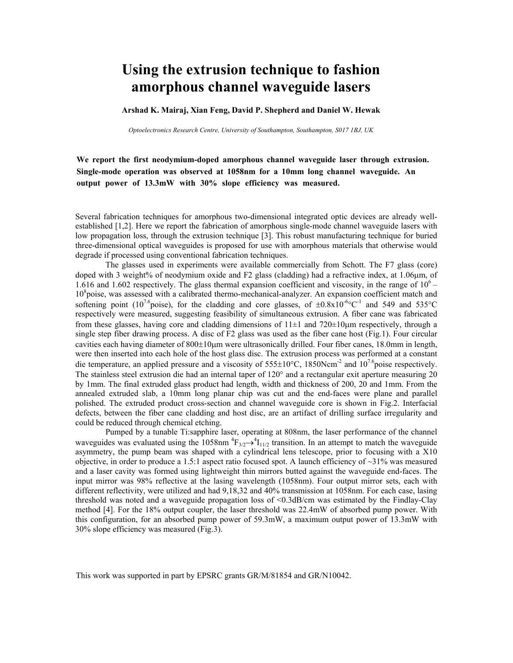## **Using the extrusion technique to fashion amorphous channel waveguide lasers**

**Arshad K. Mairaj, Xian Feng, David P. Shepherd and Daniel W. Hewak**

*Optoelectronics Research Centre, University of Southampton, Southampton, [S017 1BJ,](mailto:mkam@orc.soton.ac.uk) UK*

**We report the first neodymium-doped amorphous channel waveguide laser through extrusion. Single-mode operation was observed at 1058nm for a 10mm long channel waveguide. An output power of 13.3mW with 30% slope efficiency was measured.** 

Several fabrication techniques for amorphous two-dimensional integrated optic devices are already wellestablished [1,2]. Here we report the fabrication of amorphous single-mode channel waveguide lasers with low propagation loss, through the extrusion technique [3]. This robust manufacturing technique for buried three-dimensional optical waveguides is proposed for use with amorphous materials that otherwise would degrade if processed using conventional fabrication techniques.

The glasses used in experiments were available commercially from Schott. The F7 glass (core) doped with 3 weight% of neodymium oxide and F2 glass (cladding) had a refractive index, at 1.06μm, of 1.616 and 1.602 respectively. The glass thermal expansion coefficient and viscosity, in the range of  $10^6$  – 10<sup>8</sup> poise, was assessed with a calibrated thermo-mechanical-analyzer. An expansion coefficient match and softening point (10<sup>7.6</sup>poise), for the cladding and core glasses, of  $\pm 0.8 \times 10^{-6}$ °C<sup>-1</sup> and 549 and 535°C respectively were measured, suggesting feasibility of simultaneous extrusion. A fiber cane was fabricated from these glasses, having core and cladding dimensions of  $11\pm1$  and  $720\pm10\mu$ m respectively, through a single step fiber drawing process. A disc of F2 glass was used as the fiber cane host (Fig.1). Four circular cavities each having diameter of 800±10µm were ultrasonically drilled. Four fiber canes, 18.0mm in length, were then inserted into each hole of the host glass disc. The extrusion process was performed at a constant die temperature, an applied pressure and a viscosity of  $555\pm10^{\circ}$ C, 1850Ncm<sup>-2</sup> and  $10^{7.6}$ poise respectively. The stainless steel extrusion die had an internal taper of 120° and a rectangular exit aperture measuring 20 by 1mm. The final extruded glass product had length, width and thickness of 200, 20 and 1mm. From the annealed extruded slab, a 10mm long planar chip was cut and the end-faces were plane and parallel polished. The extruded product cross-section and channel waveguide core is shown in Fig.2. Interfacial defects, between the fiber cane cladding and host disc, are an artifact of drilling surface irregularity and could be reduced through chemical etching.

Pumped by a tunable Ti:sapphire laser, operating at 808nm, the laser performance of the channel waveguides was evaluated using the 1058nm  ${}^{4}F_{3/2} \rightarrow {}^{4}I_{11/2}$  transition. In an attempt to match the waveguide asymmetry, the pump beam was shaped with a cylindrical lens telescope, prior to focusing with a X10 objective, in order to produce a 1.5:1 aspect ratio focused spot. A launch efficiency of  $\sim$ 31% was measured and a laser cavity was formed using lightweight thin mirrors butted against the waveguide end-faces. The input mirror was 98% reflective at the lasing wavelength (1058nm). Four output mirror sets, each with different reflectivity, were utilized and had 9,18,32 and 40% transmission at 1058nm. For each case, lasing threshold was noted and a waveguide propagation loss of <0.3dB/cm was estimated by the Findlay-Clay method [4]. For the 18% output coupler, the laser threshold was 22.4mW of absorbed pump power. With this configuration, for an absorbed pump power of 59.3mW, a maximum output power of 13.3mW with 30% slope efficiency was measured (Fig.3).

This work was supported in part by EPSRC grants GR/M/81854 and GR/N10042.